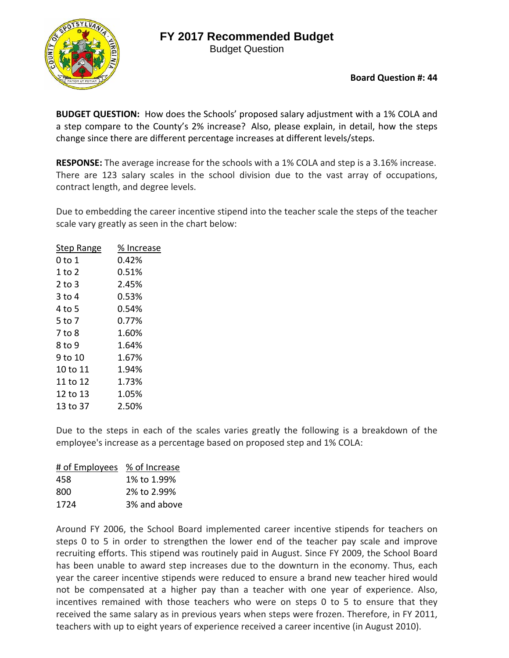## **FY 2017 Recommended Budget**

Budget Question



**Board Question #: 44**

**BUDGET QUESTION:** How does the Schools' proposed salary adjustment with a 1% COLA and a step compare to the County's 2% increase? Also, please explain, in detail, how the steps change since there are different percentage increases at different levels/steps.

**RESPONSE:** The average increase for the schools with a 1% COLA and step is a 3.16% increase. There are 123 salary scales in the school division due to the vast array of occupations, contract length, and degree levels.

Due to embedding the career incentive stipend into the teacher scale the steps of the teacher scale vary greatly as seen in the chart below:

| Step Range | % Increase |
|------------|------------|
| 0 to 1     | 0.42%      |
| 1 to 2     | 0.51%      |
| 2 to 3     | 2.45%      |
| 3 to 4     | 0.53%      |
| 4 to 5     | 0.54%      |
| 5 to 7     | 0.77%      |
| 7 to 8     | 1.60%      |
| 8 to 9     | 1.64%      |
| 9 to 10    | 1.67%      |
| 10 to 11   | 1.94%      |
| 11 to 12   | 1.73%      |
| 12 to 13   | 1.05%      |
| 13 to 37   | 2.50%      |
|            |            |

Due to the steps in each of the scales varies greatly the following is a breakdown of the employee's increase as a percentage based on proposed step and 1% COLA:

| # of Employees % of Increase |              |
|------------------------------|--------------|
| 458                          | 1% to 1.99%  |
| 800                          | 2% to 2.99%  |
| 1724                         | 3% and above |

Around FY 2006, the School Board implemented career incentive stipends for teachers on steps 0 to 5 in order to strengthen the lower end of the teacher pay scale and improve recruiting efforts. This stipend was routinely paid in August. Since FY 2009, the School Board has been unable to award step increases due to the downturn in the economy. Thus, each year the career incentive stipends were reduced to ensure a brand new teacher hired would not be compensated at a higher pay than a teacher with one year of experience. Also, incentives remained with those teachers who were on steps 0 to 5 to ensure that they received the same salary as in previous years when steps were frozen. Therefore, in FY 2011, teachers with up to eight years of experience received a career incentive (in August 2010).